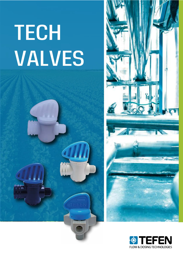## **TECH VALVES**





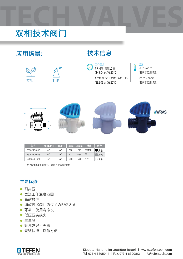## **TECH VALVES 双相技术阀门**



| <b>「型号」</b> | $ M$ (BSPT) $ F$ (BSPT) |                 | $L$ mm | $ L1$ mm | 材质          | 颜色 |
|-------------|-------------------------|-----------------|--------|----------|-------------|----|
| 23002404042 | 1⁄4"                    | 1⁄4"            | 51.2   | 57.6     | Acetal      | 黑色 |
| 23002504043 | 1⁄4"                    | $\frac{1}{4}$ " | 51.7   | 58.8     | PP          | 灰色 |
| 23002904041 | 1⁄4"                    | $\frac{1}{4}$ " | 51.8   | 59.0     | <b>PVDF</b> | 白色 |

注:所有配置(8毫米倒钩/¼"螺纹)可根据需要提供

## **主要优势:**

- 耐高压
- 宽泛工作温度范围
- 高耐酸性
- 缩醛技术阀门通过了WRAS认证
- 可靠、使用寿命长
- 低压压头损失
- 重量轻
- 环境友好、无毒
- 安装快捷,操作方便

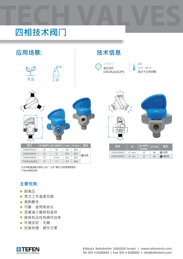## **TECH VALVES TECH VALVES 四相技术阀门**



注:所有配置(8毫米倒钩/ 1/4 " / 1/8 "螺纹)可根据需要提供 \*\* 8mm倒钩连接

**主要优势:** 

- 耐高压
- 宽泛工作温度范围
- 高耐酸性
- 可靠、使用寿命长
- 显著减少磨损和差异
- 具有机动性和操作效率
- 环境友好、无毒
- 安装快捷,操作方便